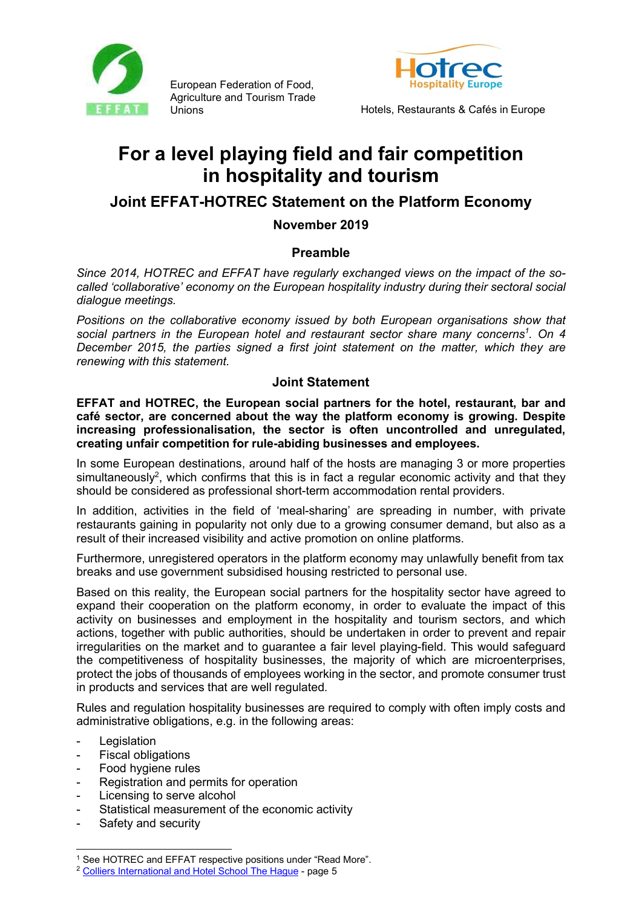

European Federation of Food, Agriculture and Tourism Trade



Unions Hotels, Restaurants & Cafés in Europe

# For a level playing field and fair competition in hospitality and tourism

# Joint EFFAT-HOTREC Statement on the Platform Economy

November 2019

# Preamble

Since 2014, HOTREC and EFFAT have regularly exchanged views on the impact of the socalled 'collaborative' economy on the European hospitality industry during their sectoral social dialogue meetings.

Positions on the collaborative economy issued by both European organisations show that social partners in the European hotel and restaurant sector share many concerns<sup>1</sup>. On 4 December 2015, the parties signed a first joint statement on the matter, which they are renewing with this statement.

# Joint Statement

EFFAT and HOTREC, the European social partners for the hotel, restaurant, bar and café sector, are concerned about the way the platform economy is growing. Despite increasing professionalisation, the sector is often uncontrolled and unregulated, creating unfair competition for rule-abiding businesses and employees.

In some European destinations, around half of the hosts are managing 3 or more properties simultaneously<sup>2</sup>, which confirms that this is in fact a regular economic activity and that they should be considered as professional short-term accommodation rental providers.

In addition, activities in the field of 'meal-sharing' are spreading in number, with private restaurants gaining in popularity not only due to a growing consumer demand, but also as a result of their increased visibility and active promotion on online platforms.

Furthermore, unregistered operators in the platform economy may unlawfully benefit from tax breaks and use government subsidised housing restricted to personal use.

Based on this reality, the European social partners for the hospitality sector have agreed to expand their cooperation on the platform economy, in order to evaluate the impact of this activity on businesses and employment in the hospitality and tourism sectors, and which actions, together with public authorities, should be undertaken in order to prevent and repair irregularities on the market and to guarantee a fair level playing-field. This would safeguard the competitiveness of hospitality businesses, the majority of which are microenterprises, protect the jobs of thousands of employees working in the sector, and promote consumer trust in products and services that are well regulated.

Rules and regulation hospitality businesses are required to comply with often imply costs and administrative obligations, e.g. in the following areas:

- Legislation
- Fiscal obligations
- Food hygiene rules
- Registration and permits for operation
- Licensing to serve alcohol
- Statistical measurement of the economic activity
- Safety and security

<sup>&</sup>lt;sup>1</sup> See HOTREC and EFFAT respective positions under "Read More".

<sup>2</sup> Colliers International and Hotel School The Hague - page 5